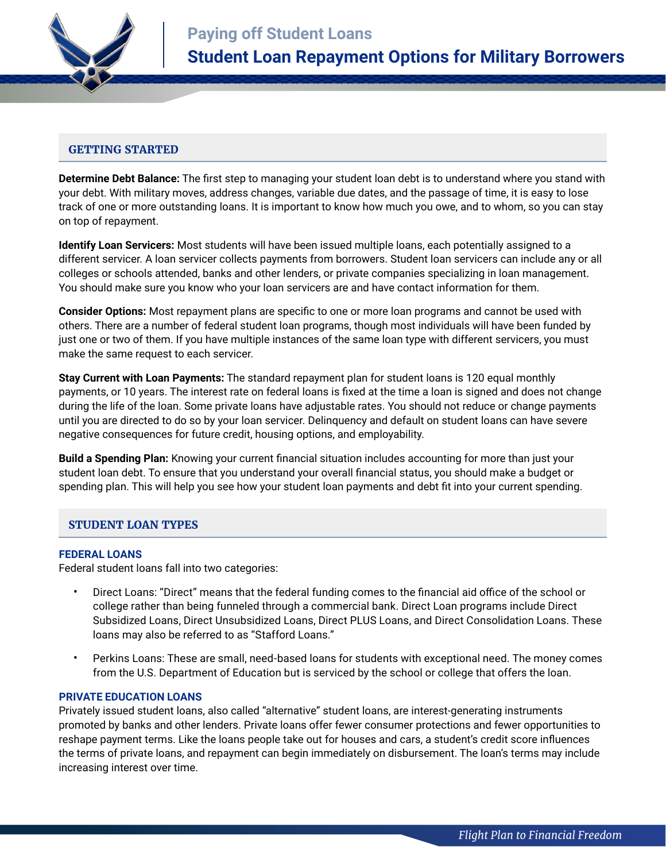

# **GETTING STARTED**

**Determine Debt Balance:** The first step to managing your student loan debt is to understand where you stand with your debt. With military moves, address changes, variable due dates, and the passage of time, it is easy to lose track of one or more outstanding loans. It is important to know how much you owe, and to whom, so you can stay on top of repayment.

**Identify Loan Servicers:** Most students will have been issued multiple loans, each potentially assigned to a different servicer. A loan servicer collects payments from borrowers. Student loan servicers can include any or all colleges or schools attended, banks and other lenders, or private companies specializing in loan management. You should make sure you know who your loan servicers are and have contact information for them.

**Consider Options:** Most repayment plans are specific to one or more loan programs and cannot be used with others. There are a number of federal student loan programs, though most individuals will have been funded by just one or two of them. If you have multiple instances of the same loan type with different servicers, you must make the same request to each servicer.

**Stay Current with Loan Payments:** The standard repayment plan for student loans is 120 equal monthly payments, or 10 years. The interest rate on federal loans is fixed at the time a loan is signed and does not change during the life of the loan. Some private loans have adjustable rates. You should not reduce or change payments until you are directed to do so by your loan servicer. Delinquency and default on student loans can have severe negative consequences for future credit, housing options, and employability.

**Build a Spending Plan:** Knowing your current financial situation includes accounting for more than just your student loan debt. To ensure that you understand your overall financial status, you should make a budget or spending plan. This will help you see how your student loan payments and debt fit into your current spending.

# **STUDENT LOAN TYPES**

# **FEDERAL LOANS**

Federal student loans fall into two categories:

- Direct Loans: "Direct" means that the federal funding comes to the financial aid office of the school or college rather than being funneled through a commercial bank. Direct Loan programs include Direct Subsidized Loans, Direct Unsubsidized Loans, Direct PLUS Loans, and Direct Consolidation Loans. These loans may also be referred to as "Stafford Loans."
- Perkins Loans: These are small, need-based loans for students with exceptional need. The money comes from the U.S. Department of Education but is serviced by the school or college that offers the loan.

### **PRIVATE EDUCATION LOANS**

Privately issued student loans, also called "alternative" student loans, are interest-generating instruments promoted by banks and other lenders. Private loans offer fewer consumer protections and fewer opportunities to reshape payment terms. Like the loans people take out for houses and cars, a student's credit score influences the terms of private loans, and repayment can begin immediately on disbursement. The loan's terms may include increasing interest over time.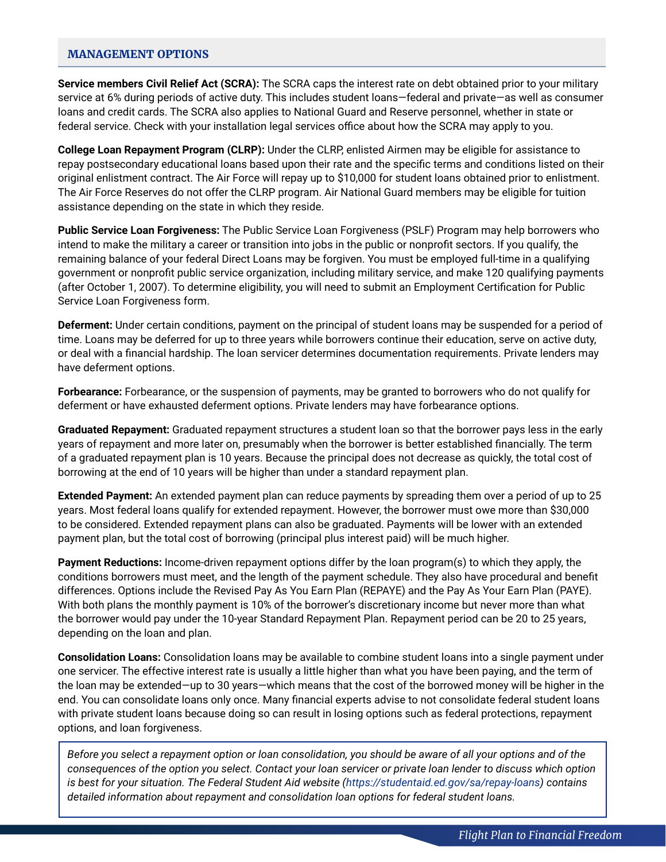### **MANAGEMENT OPTIONS**

**Service members Civil Relief Act (SCRA):** The SCRA caps the interest rate on debt obtained prior to your military service at 6% during periods of active duty. This includes student loans—federal and private—as well as consumer loans and credit cards. The SCRA also applies to National Guard and Reserve personnel, whether in state or federal service. Check with your installation legal services office about how the SCRA may apply to you.

**College Loan Repayment Program (CLRP):** Under the CLRP, enlisted Airmen may be eligible for assistance to repay postsecondary educational loans based upon their rate and the specific terms and conditions listed on their original enlistment contract. The Air Force will repay up to \$10,000 for student loans obtained prior to enlistment. The Air Force Reserves do not offer the CLRP program. Air National Guard members may be eligible for tuition assistance depending on the state in which they reside.

**Public Service Loan Forgiveness:** The Public Service Loan Forgiveness (PSLF) Program may help borrowers who intend to make the military a career or transition into jobs in the public or nonprofit sectors. If you qualify, the remaining balance of your federal Direct Loans may be forgiven. You must be employed full-time in a qualifying government or nonprofit public service organization, including military service, and make 120 qualifying payments (after October 1, 2007). To determine eligibility, you will need to submit an Employment Certification for Public Service Loan Forgiveness form.

**Deferment:** Under certain conditions, payment on the principal of student loans may be suspended for a period of time. Loans may be deferred for up to three years while borrowers continue their education, serve on active duty, or deal with a financial hardship. The loan servicer determines documentation requirements. Private lenders may have deferment options.

**Forbearance:** Forbearance, or the suspension of payments, may be granted to borrowers who do not qualify for deferment or have exhausted deferment options. Private lenders may have forbearance options.

**Graduated Repayment:** Graduated repayment structures a student loan so that the borrower pays less in the early years of repayment and more later on, presumably when the borrower is better established financially. The term of a graduated repayment plan is 10 years. Because the principal does not decrease as quickly, the total cost of borrowing at the end of 10 years will be higher than under a standard repayment plan.

**Extended Payment:** An extended payment plan can reduce payments by spreading them over a period of up to 25 years. Most federal loans qualify for extended repayment. However, the borrower must owe more than \$30,000 to be considered. Extended repayment plans can also be graduated. Payments will be lower with an extended payment plan, but the total cost of borrowing (principal plus interest paid) will be much higher.

**Payment Reductions:** Income-driven repayment options differ by the loan program(s) to which they apply, the conditions borrowers must meet, and the length of the payment schedule. They also have procedural and benefit differences. Options include the Revised Pay As You Earn Plan (REPAYE) and the Pay As Your Earn Plan (PAYE). With both plans the monthly payment is 10% of the borrower's discretionary income but never more than what the borrower would pay under the 10-year Standard Repayment Plan. Repayment period can be 20 to 25 years, depending on the loan and plan.

**Consolidation Loans:** Consolidation loans may be available to combine student loans into a single payment under one servicer. The effective interest rate is usually a little higher than what you have been paying, and the term of the loan may be extended—up to 30 years—which means that the cost of the borrowed money will be higher in the end. You can consolidate loans only once. Many financial experts advise to not consolidate federal student loans with private student loans because doing so can result in losing options such as federal protections, repayment options, and loan forgiveness.

*Before you select a repayment option or loan consolidation, you should be aware of all your options and of the consequences of the option you select. Contact your loan servicer or private loan lender to discuss which option is best for your situation. The Federal Student Aid website (https://studentaid.ed.gov/sa/repay-loans) contains detailed information about repayment and consolidation loan options for federal student loans.*